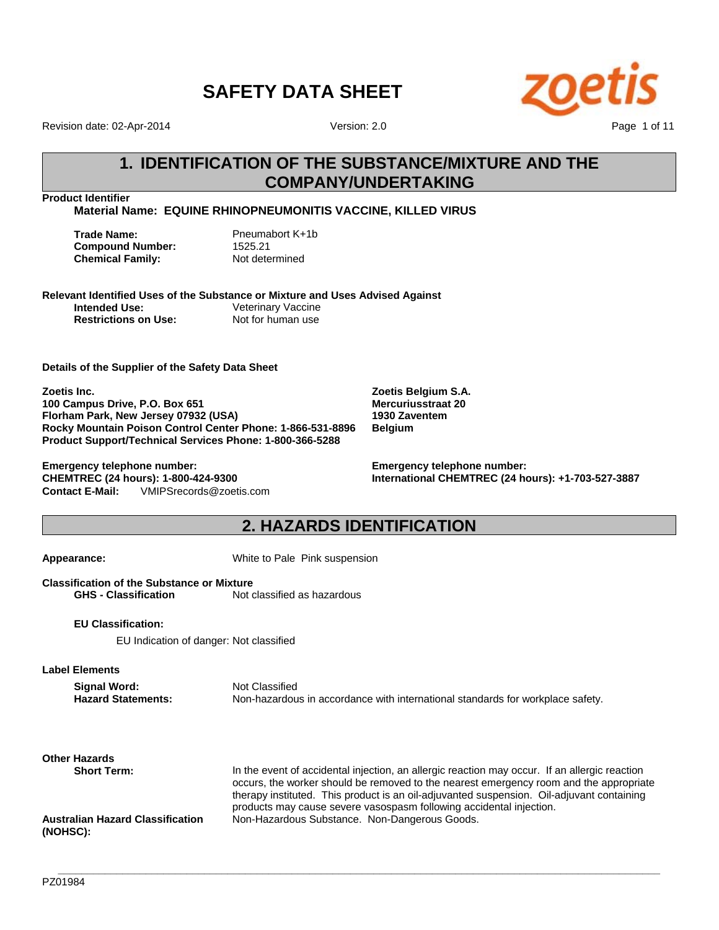

Revision date: 02-Apr-2014

Version: 2.0

# **1. IDENTIFICATION OF THE SUBSTANCE/MIXTURE AND THE COMPANY/UNDERTAKING**

**Product Identifier**

**Material Name: EQUINE RHINOPNEUMONITIS VACCINE, KILLED VIRUS**

| Trade Name:             | Pneumabort K+1b |
|-------------------------|-----------------|
| <b>Compound Number:</b> | 1525.21         |
| Chemical Family:        | Not determined  |

### **Relevant Identified Uses of the Substance or Mixture and Uses Advised Against**

**Intended Use:** Veterinary Vaccine **Restrictions on Use:** Not for human use

**Details of the Supplier of the Safety Data Sheet**

**Zoetis Inc. 100 Campus Drive, P.O. Box 651 Florham Park, New Jersey 07932 (USA) Rocky Mountain Poison Control Center Phone: 1-866-531-8896 Product Support/Technical Services Phone: 1-800-366-5288**

**Contact E-Mail:** VMIPSrecords@zoetis.com **Emergency telephone number: CHEMTREC (24 hours): 1-800-424-9300**

**Zoetis Belgium S.A. Mercuriusstraat 20 1930 Zaventem Belgium**

**Emergency telephone number: International CHEMTREC (24 hours): +1-703-527-3887**

# **2. HAZARDS IDENTIFICATION**

**Appearance:** White to Pale Pink suspension

**Classification of the Substance or Mixture GHS - Classification** Not classified as hazardous

**EU Classification:**

EU Indication of danger: Not classified

**Label Elements**

**Signal Word:** Not Classified<br> **Hazard Statements:** Non-hazardou Non-hazardous in accordance with international standards for workplace safety.

**\_\_\_\_\_\_\_\_\_\_\_\_\_\_\_\_\_\_\_\_\_\_\_\_\_\_\_\_\_\_\_\_\_\_\_\_\_\_\_\_\_\_\_\_\_\_\_\_\_\_\_\_\_\_\_\_\_\_\_\_\_\_\_\_\_\_\_\_\_\_\_\_\_\_\_\_\_\_\_\_\_\_\_\_\_\_\_\_\_\_\_\_\_\_\_\_\_\_\_\_\_\_\_**

**Other Hazards**

**Australian Hazard Classification (NOHSC):**

**Short Term:** In the event of accidental injection, an allergic reaction may occur. If an allergic reaction occurs, the worker should be removed to the nearest emergency room and the appropriate therapy instituted. This product is an oil-adjuvanted suspension. Oil-adjuvant containing products may cause severe vasospasm following accidental injection. Non-Hazardous Substance. Non-Dangerous Goods.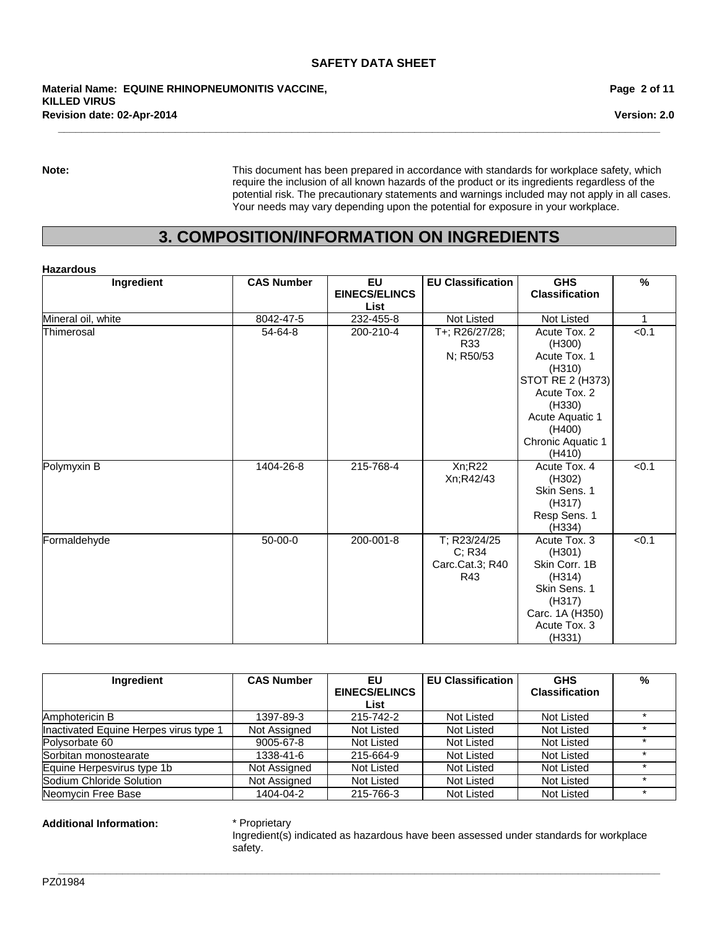**Revision date: 02-Apr-2014 Material Name: EQUINE RHINOPNEUMONITIS VACCINE, KILLED VIRUS**

**Page 2 of 11**

**Version: 2.0**

**Note:** This document has been prepared in accordance with standards for workplace safety, which require the inclusion of all known hazards of the product or its ingredients regardless of the potential risk. The precautionary statements and warnings included may not apply in all cases. Your needs may vary depending upon the potential for exposure in your workplace.

# **3. COMPOSITION/INFORMATION ON INGREDIENTS**

**\_\_\_\_\_\_\_\_\_\_\_\_\_\_\_\_\_\_\_\_\_\_\_\_\_\_\_\_\_\_\_\_\_\_\_\_\_\_\_\_\_\_\_\_\_\_\_\_\_\_\_\_\_\_\_\_\_\_\_\_\_\_\_\_\_\_\_\_\_\_\_\_\_\_\_\_\_\_\_\_\_\_\_\_\_\_\_\_\_\_\_\_\_\_\_\_\_\_\_\_\_\_\_**

#### **Hazardous**

| Ingredient         | <b>CAS Number</b> | <b>EU</b>            | <b>EU Classification</b> | <b>GHS</b>            | $\%$        |
|--------------------|-------------------|----------------------|--------------------------|-----------------------|-------------|
|                    |                   | <b>EINECS/ELINCS</b> |                          | <b>Classification</b> |             |
|                    |                   | List                 |                          |                       |             |
| Mineral oil, white | 8042-47-5         | 232-455-8            | Not Listed               | Not Listed            | $\mathbf 1$ |
| Thimerosal         | 54-64-8           | 200-210-4            | T+; R26/27/28;           | Acute Tox. 2          | < 0.1       |
|                    |                   |                      | R33                      | (H300)                |             |
|                    |                   |                      | N; R50/53                | Acute Tox. 1          |             |
|                    |                   |                      |                          | (H310)                |             |
|                    |                   |                      |                          | STOT RE 2 (H373)      |             |
|                    |                   |                      |                          | Acute Tox. 2          |             |
|                    |                   |                      |                          | (H330)                |             |
|                    |                   |                      |                          | Acute Aquatic 1       |             |
|                    |                   |                      |                          | (H400)                |             |
|                    |                   |                      |                          | Chronic Aquatic 1     |             |
|                    |                   |                      |                          | (H410)                |             |
| Polymyxin B        | 1404-26-8         | 215-768-4            | Xn;R22                   | Acute Tox. 4          | < 0.1       |
|                    |                   |                      | Xn;R42/43                | (H302)                |             |
|                    |                   |                      |                          | Skin Sens. 1          |             |
|                    |                   |                      |                          | (H317)                |             |
|                    |                   |                      |                          | Resp Sens. 1          |             |
|                    |                   |                      |                          | (H334)                |             |
| Formaldehyde       | 50-00-0           | 200-001-8            | T; R23/24/25             | Acute Tox, 3          | < 0.1       |
|                    |                   |                      | C; R34                   | (H301)                |             |
|                    |                   |                      | Carc.Cat.3; R40          | Skin Corr. 1B         |             |
|                    |                   |                      | R43                      | (H314)                |             |
|                    |                   |                      |                          | Skin Sens. 1          |             |
|                    |                   |                      |                          | (H317)                |             |
|                    |                   |                      |                          | Carc. 1A (H350)       |             |
|                    |                   |                      |                          | Acute Tox. 3          |             |
|                    |                   |                      |                          | (H331)                |             |

| Ingredient                             | <b>CAS Number</b> | EU                   | <b>EU Classification</b> | <b>GHS</b>            | % |
|----------------------------------------|-------------------|----------------------|--------------------------|-----------------------|---|
|                                        |                   | <b>EINECS/ELINCS</b> |                          | <b>Classification</b> |   |
|                                        |                   | List                 |                          |                       |   |
| Amphotericin B                         | 1397-89-3         | 215-742-2            | Not Listed               | Not Listed            |   |
| Inactivated Equine Herpes virus type 1 | Not Assigned      | Not Listed           | Not Listed               | Not Listed            |   |
| Polysorbate 60                         | 9005-67-8         | Not Listed           | Not Listed               | Not Listed            |   |
| Sorbitan monostearate                  | 1338-41-6         | 215-664-9            | Not Listed               | Not Listed            |   |
| Equine Herpesvirus type 1b             | Not Assigned      | Not Listed           | Not Listed               | Not Listed            |   |
| Sodium Chloride Solution               | Not Assigned      | Not Listed           | Not Listed               | Not Listed            |   |
| Neomycin Free Base                     | 1404-04-2         | 215-766-3            | Not Listed               | Not Listed            |   |

**\_\_\_\_\_\_\_\_\_\_\_\_\_\_\_\_\_\_\_\_\_\_\_\_\_\_\_\_\_\_\_\_\_\_\_\_\_\_\_\_\_\_\_\_\_\_\_\_\_\_\_\_\_\_\_\_\_\_\_\_\_\_\_\_\_\_\_\_\_\_\_\_\_\_\_\_\_\_\_\_\_\_\_\_\_\_\_\_\_\_\_\_\_\_\_\_\_\_\_\_\_\_\_**

#### **Additional Information:** \* Proprietary

Ingredient(s) indicated as hazardous have been assessed under standards for workplace safety.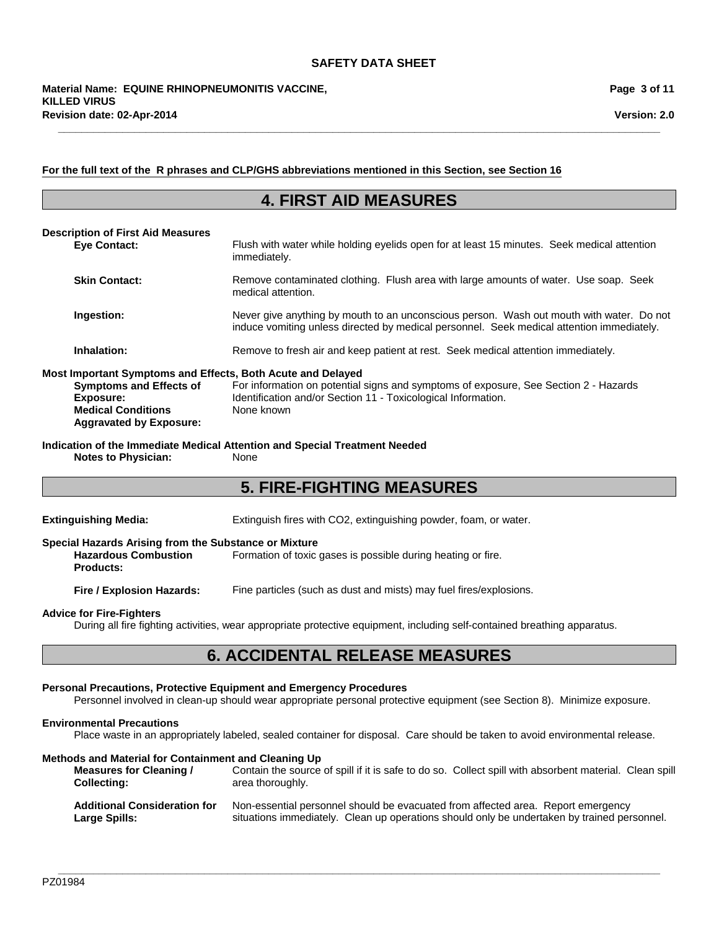#### **For the full text of the R phrases and CLP/GHS abbreviations mentioned in this Section, see Section 16**

### **4. FIRST AID MEASURES**

**\_\_\_\_\_\_\_\_\_\_\_\_\_\_\_\_\_\_\_\_\_\_\_\_\_\_\_\_\_\_\_\_\_\_\_\_\_\_\_\_\_\_\_\_\_\_\_\_\_\_\_\_\_\_\_\_\_\_\_\_\_\_\_\_\_\_\_\_\_\_\_\_\_\_\_\_\_\_\_\_\_\_\_\_\_\_\_\_\_\_\_\_\_\_\_\_\_\_\_\_\_\_\_**

| <b>Description of First Aid Measures</b><br><b>Eve Contact:</b>                                                                                                           | Flush with water while holding eyelids open for at least 15 minutes. Seek medical attention<br>immediately.                                                                           |
|---------------------------------------------------------------------------------------------------------------------------------------------------------------------------|---------------------------------------------------------------------------------------------------------------------------------------------------------------------------------------|
| <b>Skin Contact:</b>                                                                                                                                                      | Remove contaminated clothing. Flush area with large amounts of water. Use soap. Seek<br>medical attention.                                                                            |
| Ingestion:                                                                                                                                                                | Never give anything by mouth to an unconscious person. Wash out mouth with water. Do not<br>induce vomiting unless directed by medical personnel. Seek medical attention immediately. |
| Inhalation:                                                                                                                                                               | Remove to fresh air and keep patient at rest. Seek medical attention immediately.                                                                                                     |
| Most Important Symptoms and Effects, Both Acute and Delayed<br><b>Symptoms and Effects of</b><br>Exposure:<br><b>Medical Conditions</b><br><b>Aggravated by Exposure:</b> | For information on potential signs and symptoms of exposure, See Section 2 - Hazards<br>Identification and/or Section 11 - Toxicological Information.<br>None known                   |

**Indication of the Immediate Medical Attention and Special Treatment Needed Notes to Physician:** 

# **5. FIRE-FIGHTING MEASURES**

**Extinguishing Media:** Extinguish fires with CO2, extinguishing powder, foam, or water.

#### **Special Hazards Arising from the Substance or Mixture**

**Hazardous Combustion Products:** Formation of toxic gases is possible during heating or fire.

**Fire / Explosion Hazards:** Fine particles (such as dust and mists) may fuel fires/explosions.

#### **Advice for Fire-Fighters**

During all fire fighting activities, wear appropriate protective equipment, including self-contained breathing apparatus.

### **6. ACCIDENTAL RELEASE MEASURES**

#### **Personal Precautions, Protective Equipment and Emergency Procedures**

Personnel involved in clean-up should wear appropriate personal protective equipment (see Section 8). Minimize exposure.

#### **Environmental Precautions**

Place waste in an appropriately labeled, sealed container for disposal. Care should be taken to avoid environmental release.

#### **Methods and Material for Containment and Cleaning Up**

**Measures for Cleaning / Collecting:** Contain the source of spill if it is safe to do so. Collect spill with absorbent material. Clean spill area thoroughly.

| <b>Additional Consideration for</b> | Non-essential personnel should be evacuated from affected area. Report emergency            |
|-------------------------------------|---------------------------------------------------------------------------------------------|
| <b>Large Spills:</b>                | situations immediately. Clean up operations should only be undertaken by trained personnel. |

**\_\_\_\_\_\_\_\_\_\_\_\_\_\_\_\_\_\_\_\_\_\_\_\_\_\_\_\_\_\_\_\_\_\_\_\_\_\_\_\_\_\_\_\_\_\_\_\_\_\_\_\_\_\_\_\_\_\_\_\_\_\_\_\_\_\_\_\_\_\_\_\_\_\_\_\_\_\_\_\_\_\_\_\_\_\_\_\_\_\_\_\_\_\_\_\_\_\_\_\_\_\_\_**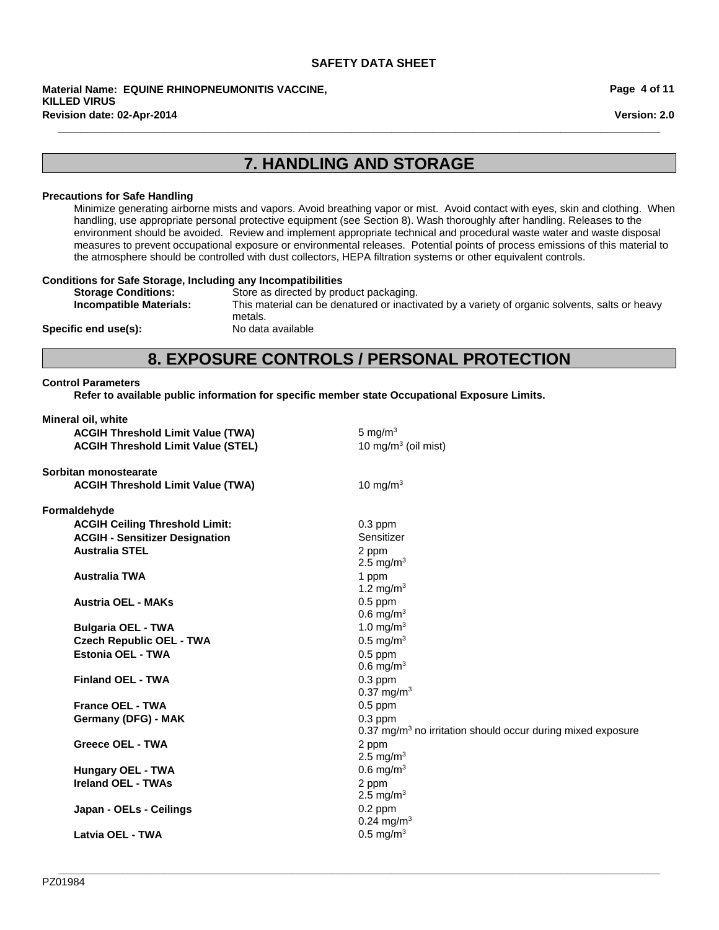**Revision date: 02-Apr-2014 Material Name: EQUINE RHINOPNEUMONITIS VACCINE, KILLED VIRUS**

**Page 4 of 11**

**Version: 2.0**

# **7. HANDLING AND STORAGE**

**\_\_\_\_\_\_\_\_\_\_\_\_\_\_\_\_\_\_\_\_\_\_\_\_\_\_\_\_\_\_\_\_\_\_\_\_\_\_\_\_\_\_\_\_\_\_\_\_\_\_\_\_\_\_\_\_\_\_\_\_\_\_\_\_\_\_\_\_\_\_\_\_\_\_\_\_\_\_\_\_\_\_\_\_\_\_\_\_\_\_\_\_\_\_\_\_\_\_\_\_\_\_\_**

#### **Precautions for Safe Handling**

Minimize generating airborne mists and vapors. Avoid breathing vapor or mist. Avoid contact with eyes, skin and clothing. When handling, use appropriate personal protective equipment (see Section 8). Wash thoroughly after handling. Releases to the environment should be avoided. Review and implement appropriate technical and procedural waste water and waste disposal measures to prevent occupational exposure or environmental releases. Potential points of process emissions of this material to the atmosphere should be controlled with dust collectors, HEPA filtration systems or other equivalent controls.

#### **Conditions for Safe Storage, Including any Incompatibilities**

| <b>Storage Conditions:</b>     | Store as directed by product packaging.                                                        |
|--------------------------------|------------------------------------------------------------------------------------------------|
| <b>Incompatible Materials:</b> | This material can be denatured or inactivated by a variety of organic solvents, salts or heavy |
|                                | metals.                                                                                        |
| Specific end use(s):           | No data available                                                                              |

### **8. EXPOSURE CONTROLS / PERSONAL PROTECTION**

### **Control Parameters**

**Refer to available public information for specific member state Occupational Exposure Limits.**

| Mineral oil, white                        |                                                                        |
|-------------------------------------------|------------------------------------------------------------------------|
| <b>ACGIH Threshold Limit Value (TWA)</b>  | 5 mg/ $m3$                                                             |
| <b>ACGIH Threshold Limit Value (STEL)</b> | 10 mg/m $3$ (oil mist)                                                 |
| Sorbitan monostearate                     |                                                                        |
| <b>ACGIH Threshold Limit Value (TWA)</b>  | 10 mg/m $3$                                                            |
| Formaldehyde                              |                                                                        |
| <b>ACGIH Ceiling Threshold Limit:</b>     | $0.3$ ppm                                                              |
| <b>ACGIH - Sensitizer Designation</b>     | Sensitizer                                                             |
| <b>Australia STEL</b>                     | 2 ppm                                                                  |
|                                           | 2.5 mg/m <sup>3</sup>                                                  |
| <b>Australia TWA</b>                      | 1 ppm                                                                  |
|                                           | 1.2 mg/m <sup>3</sup>                                                  |
| <b>Austria OEL - MAKs</b>                 | $0.5$ ppm                                                              |
|                                           | $0.6$ mg/m <sup>3</sup>                                                |
| <b>Bulgaria OEL - TWA</b>                 | 1.0 mg/m $3$                                                           |
| <b>Czech Republic OEL - TWA</b>           | $0.5$ mg/m <sup>3</sup>                                                |
| Estonia OEL - TWA                         | $0.5$ ppm                                                              |
|                                           | $0.6$ mg/m <sup>3</sup>                                                |
| <b>Finland OEL - TWA</b>                  | $0.3$ ppm                                                              |
|                                           | $0.37$ mg/m <sup>3</sup>                                               |
| <b>France OEL - TWA</b>                   | $0.5$ ppm                                                              |
| Germany (DFG) - MAK                       | $0.3$ ppm                                                              |
|                                           | $0.37 \text{ mg/m}^3$ no irritation should occur during mixed exposure |
| <b>Greece OEL - TWA</b>                   | 2 ppm                                                                  |
|                                           | 2.5 mg/m <sup>3</sup>                                                  |
| <b>Hungary OEL - TWA</b>                  | $0.6$ mg/m <sup>3</sup>                                                |
| Ireland OEL - TWAs                        | 2 ppm                                                                  |
|                                           | 2.5 mg/m <sup>3</sup>                                                  |
| Japan - OELs - Ceilings                   | $0.2$ ppm                                                              |
|                                           | $0.24 \text{ mg/m}^3$                                                  |
| Latvia OEL - TWA                          | $0.5$ mg/m <sup>3</sup>                                                |
|                                           |                                                                        |

**\_\_\_\_\_\_\_\_\_\_\_\_\_\_\_\_\_\_\_\_\_\_\_\_\_\_\_\_\_\_\_\_\_\_\_\_\_\_\_\_\_\_\_\_\_\_\_\_\_\_\_\_\_\_\_\_\_\_\_\_\_\_\_\_\_\_\_\_\_\_\_\_\_\_\_\_\_\_\_\_\_\_\_\_\_\_\_\_\_\_\_\_\_\_\_\_\_\_\_\_\_\_\_**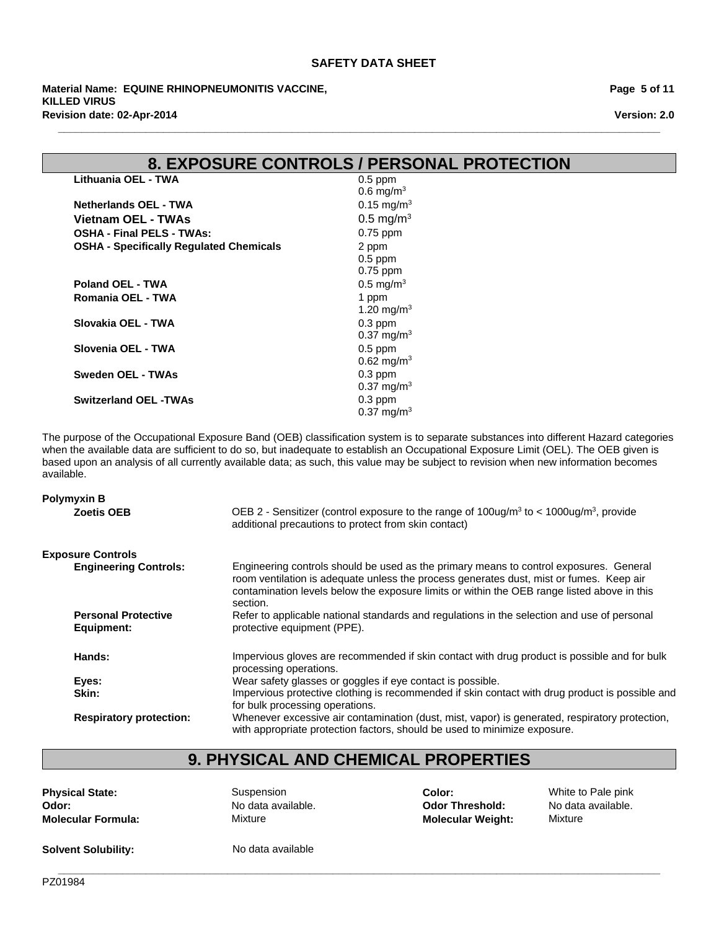**Revision date: 02-Apr-2014 Material Name: EQUINE RHINOPNEUMONITIS VACCINE, KILLED VIRUS**

**Page 5 of 11**

**Version: 2.0**

### **8. EXPOSURE CONTROLS / PERSONAL PROTECTION**

**\_\_\_\_\_\_\_\_\_\_\_\_\_\_\_\_\_\_\_\_\_\_\_\_\_\_\_\_\_\_\_\_\_\_\_\_\_\_\_\_\_\_\_\_\_\_\_\_\_\_\_\_\_\_\_\_\_\_\_\_\_\_\_\_\_\_\_\_\_\_\_\_\_\_\_\_\_\_\_\_\_\_\_\_\_\_\_\_\_\_\_\_\_\_\_\_\_\_\_\_\_\_\_**

| Lithuania OEL - TWA                            | $0.5$ ppm               |
|------------------------------------------------|-------------------------|
|                                                | $0.6 \,\mathrm{mq/m^3}$ |
| <b>Netherlands OEL - TWA</b>                   | 0.15 mg/m <sup>3</sup>  |
| Vietnam OEL - TWAs                             | $0.5 \text{ mg/m}^3$    |
| <b>OSHA - Final PELS - TWAs:</b>               | $0.75$ ppm              |
| <b>OSHA - Specifically Regulated Chemicals</b> | 2 ppm                   |
|                                                | $0.5$ ppm               |
|                                                | $0.75$ ppm              |
| Poland OEL - TWA                               | $0.5 \text{ mg/m}^3$    |
| Romania OEL - TWA                              | 1 ppm                   |
|                                                | 1.20 mg/m <sup>3</sup>  |
| Slovakia OEL - TWA                             | $0.3$ ppm               |
|                                                | $0.37 \text{ mg/m}^3$   |
| Slovenia OEL - TWA                             | $0.5$ ppm               |
|                                                | $0.62 \text{ mg/m}^3$   |
| Sweden OEL - TWAs                              | $0.3$ ppm               |
|                                                | $0.37 \text{ mg/m}^3$   |
| <b>Switzerland OEL -TWAs</b>                   | $0.3$ ppm               |
|                                                | $0.37 \text{ mg/m}^3$   |

The purpose of the Occupational Exposure Band (OEB) classification system is to separate substances into different Hazard categories when the available data are sufficient to do so, but inadequate to establish an Occupational Exposure Limit (OEL). The OEB given is based upon an analysis of all currently available data; as such, this value may be subject to revision when new information becomes available.

#### **Exposure Controls Engineering Controls:** Engineering controls should be used as the primary means to control exposures. General room ventilation is adequate unless the process generates dust, mist or fumes. Keep air contamination levels below the exposure limits or within the OEB range listed above in this section. **Personal Protective Equipment:** Refer to applicable national standards and regulations in the selection and use of personal protective equipment (PPE). Hands: **Impervious gloves are recommended if skin contact with drug product is possible and for bulk** processing operations. **Eyes:** Wear safety glasses or goggles if eye contact is possible. **Skin:** Impervious protective clothing is recommended if skin contact with drug product is possible and for bulk processing operations. **Respiratory protection:** Whenever excessive air contamination (dust, mist, vapor) is generated, respiratory protection, with appropriate protection factors, should be used to minimize exposure. **Polymyxin B Zoetis OEB** 2 - Sensitizer (control exposure to the range of 100ug/m<sup>3</sup> to < 1000ug/m<sup>3</sup>, provide additional precautions to protect from skin contact)

# **9. PHYSICAL AND CHEMICAL PROPERTIES**

**Odor:** No data available. **Molecular Formula:** Mixture

**Physical State:** The Suspension **Color:** Color: White to Pale pink **Odor Threshold:** No data available. **Molecular Weight:** Mixture

**Solvent Solubility:** No data available

**\_\_\_\_\_\_\_\_\_\_\_\_\_\_\_\_\_\_\_\_\_\_\_\_\_\_\_\_\_\_\_\_\_\_\_\_\_\_\_\_\_\_\_\_\_\_\_\_\_\_\_\_\_\_\_\_\_\_\_\_\_\_\_\_\_\_\_\_\_\_\_\_\_\_\_\_\_\_\_\_\_\_\_\_\_\_\_\_\_\_\_\_\_\_\_\_\_\_\_\_\_\_\_** PZ01984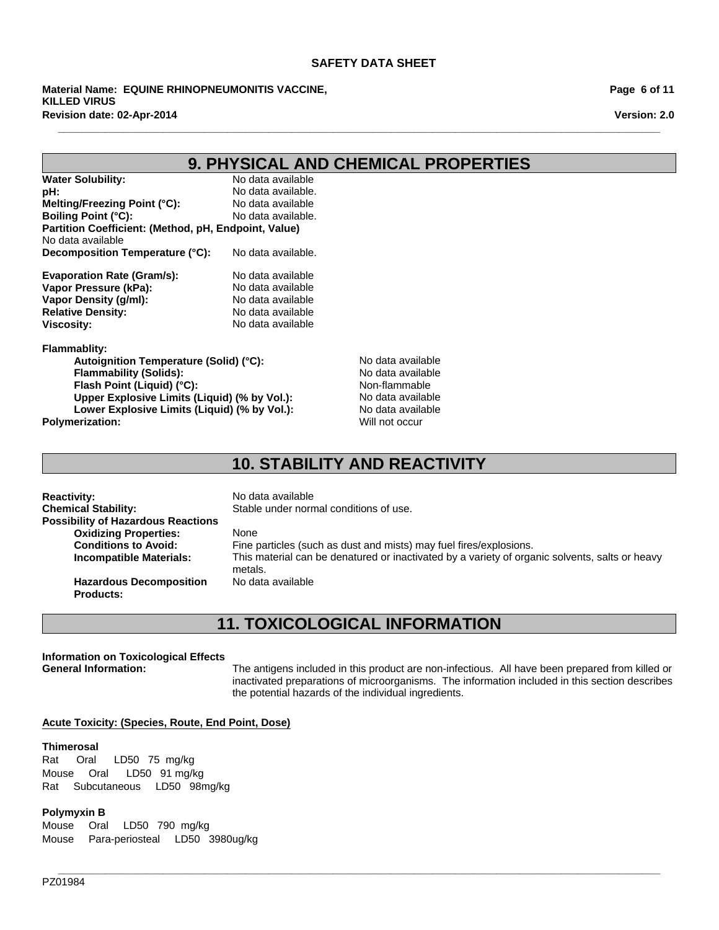**Revision date: 02-Apr-2014 Material Name: EQUINE RHINOPNEUMONITIS VACCINE, KILLED VIRUS**

**Page 6 of 11**

**Version: 2.0**

# **9. PHYSICAL AND CHEMICAL PROPERTIES**

**\_\_\_\_\_\_\_\_\_\_\_\_\_\_\_\_\_\_\_\_\_\_\_\_\_\_\_\_\_\_\_\_\_\_\_\_\_\_\_\_\_\_\_\_\_\_\_\_\_\_\_\_\_\_\_\_\_\_\_\_\_\_\_\_\_\_\_\_\_\_\_\_\_\_\_\_\_\_\_\_\_\_\_\_\_\_\_\_\_\_\_\_\_\_\_\_\_\_\_\_\_\_\_**

| <b>Water Solubility:</b>                             | No data available  |
|------------------------------------------------------|--------------------|
| pH:                                                  | No data available. |
| Melting/Freezing Point (°C):                         | No data available  |
| <b>Boiling Point (°C):</b>                           | No data available. |
| Partition Coefficient: (Method, pH, Endpoint, Value) |                    |
| No data available                                    |                    |
| Decomposition Temperature (°C):                      | No data available. |
|                                                      |                    |
| <b>Evaporation Rate (Gram/s):</b>                    | No data available  |
| Vapor Pressure (kPa):                                | No data available  |
| Vapor Density (q/ml):                                | No data available  |
| <b>Relative Density:</b>                             | No data available  |
| <b>Viscosity:</b>                                    | No data available  |

#### **Flammablity:**

Autoignition Temperature (Solid) (°C): No data available **Flammability (Solids):** No data available<br> **Flash Point (Liquid) (°C):** Non-flammable **Flash Point (Liquid) (°C):**<br> **Upper Explosive Limits (Liquid) (% by Vol.):** No data available **Upper Explosive Limits (Liquid) (% by Vol.):** Lower Explosive Limits (Liquid) (% by Vol.): No data available **Polymerization:** Will not occur

### **10. STABILITY AND REACTIVITY**

| <b>Reactivity:</b><br><b>Chemical Stability:</b><br><b>Possibility of Hazardous Reactions</b> | No data available<br>Stable under normal conditions of use.                                                                                                                             |
|-----------------------------------------------------------------------------------------------|-----------------------------------------------------------------------------------------------------------------------------------------------------------------------------------------|
| <b>Oxidizing Properties:</b><br><b>Conditions to Avoid:</b><br><b>Incompatible Materials:</b> | None<br>Fine particles (such as dust and mists) may fuel fires/explosions.<br>This material can be denatured or inactivated by a variety of organic solvents, salts or heavy<br>metals. |
| <b>Hazardous Decomposition</b><br><b>Products:</b>                                            | No data available                                                                                                                                                                       |

# **11. TOXICOLOGICAL INFORMATION**

**\_\_\_\_\_\_\_\_\_\_\_\_\_\_\_\_\_\_\_\_\_\_\_\_\_\_\_\_\_\_\_\_\_\_\_\_\_\_\_\_\_\_\_\_\_\_\_\_\_\_\_\_\_\_\_\_\_\_\_\_\_\_\_\_\_\_\_\_\_\_\_\_\_\_\_\_\_\_\_\_\_\_\_\_\_\_\_\_\_\_\_\_\_\_\_\_\_\_\_\_\_\_\_**

### **Information on Toxicological Effects**

**General Information:** The antigens included in this product are non-infectious. All have been prepared from killed or inactivated preparations of microorganisms. The information included in this section describes the potential hazards of the individual ingredients.

#### **Acute Toxicity: (Species, Route, End Point, Dose)**

#### **Thimerosal**

RatSubcutaneousLD50 98mg/kg Rat Oral LD50 75mg/kg MouseOral LD50 91 mg/kg

#### **Polymyxin B**

MouseOralLD50 790mg/kg MousePara-periostealLD50 3980ug/kg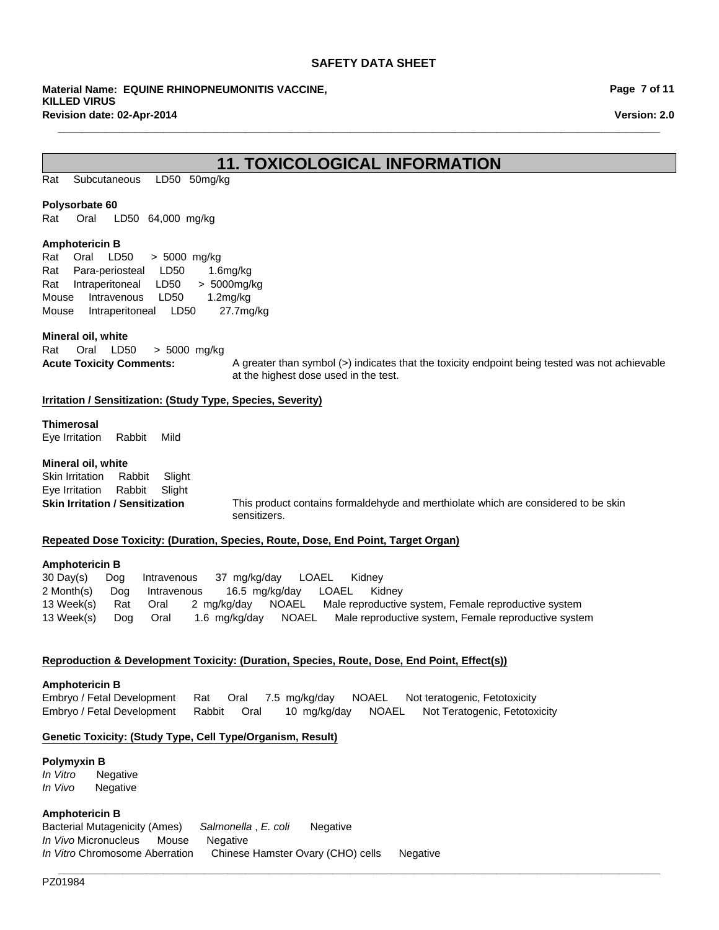**Material Name: EQUINE RHINOPNEUMONITIS VACCINE, KILLED VIRUS Revision date: 02-Apr-2014**

**Page 7 of 11**

**Version: 2.0**

### **11. TOXICOLOGICAL INFORMATION**

**\_\_\_\_\_\_\_\_\_\_\_\_\_\_\_\_\_\_\_\_\_\_\_\_\_\_\_\_\_\_\_\_\_\_\_\_\_\_\_\_\_\_\_\_\_\_\_\_\_\_\_\_\_\_\_\_\_\_\_\_\_\_\_\_\_\_\_\_\_\_\_\_\_\_\_\_\_\_\_\_\_\_\_\_\_\_\_\_\_\_\_\_\_\_\_\_\_\_\_\_\_\_\_**

RatSubcutaneousLD50 50mg/kg

#### **Polysorbate 60**

Rat Oral LD50 64,000mg/kg

#### **Amphotericin B**

RatOralLD50 >5000mg/kg RatPara-periostealLD50 1.6mg/kg RatIntraperitonealLD50 >5000mg/kg MouseIntravenousLD50 1.2mg/kg MouseIntraperitonealLD50 27.7mg/kg

#### **Mineral oil, white**

Rat OralLD50 >5000mg/kg

Acute Toxicity Comments: A greater than symbol (>) indicates that the toxicity endpoint being tested was not achievable at the highest dose used in the test.

#### **Irritation / Sensitization: (Study Type, Species, Severity)**

### **Thimerosal**

Eye IrritationRabbitMild

#### **Mineral oil, white**

Skin IrritationRabbitSlight Eye IrritationRabbitSlight

**Skin Irritation / Sensitization** This product contains formaldehyde and merthiolate which are considered to be skin sensitizers.

#### **Repeated Dose Toxicity: (Duration, Species, Route, Dose, End Point, Target Organ)**

#### **Amphotericin B**

30 Day(s)DogIntravenous37mg/kg/dayLOAELKidney 2 Month(s)DogIntravenous16.5mg/kg/dayLOAELKidney 13 Week(s)RatOral2mg/kg/dayNOAELMale reproductive system, Female reproductive system 13 Week(s)DogOral1.6mg/kg/dayNOAELMale reproductive system, Female reproductive system

#### **Reproduction & Development Toxicity: (Duration, Species, Route, Dose, End Point, Effect(s))**

**Amphotericin B** Embryo / Fetal DevelopmentRatOral7.5mg/kg/dayNOAELNot teratogenic, Fetotoxicity Embryo / Fetal DevelopmentRabbitOral10mg/kg/dayNOAELNot Teratogenic, Fetotoxicity

### **Genetic Toxicity: (Study Type, Cell Type/Organism, Result)**

### **Polymyxin B**

*In Vitro* Negative *In Vivo* Negative

### **Amphotericin B**

Bacterial Mutagenicity (Ames)*Salmonella* , *E. coli* Negative *In Vivo* MicronucleusMouseNegative *In Vitro* Chromosome AberrationChinese Hamster Ovary (CHO) cellsNegative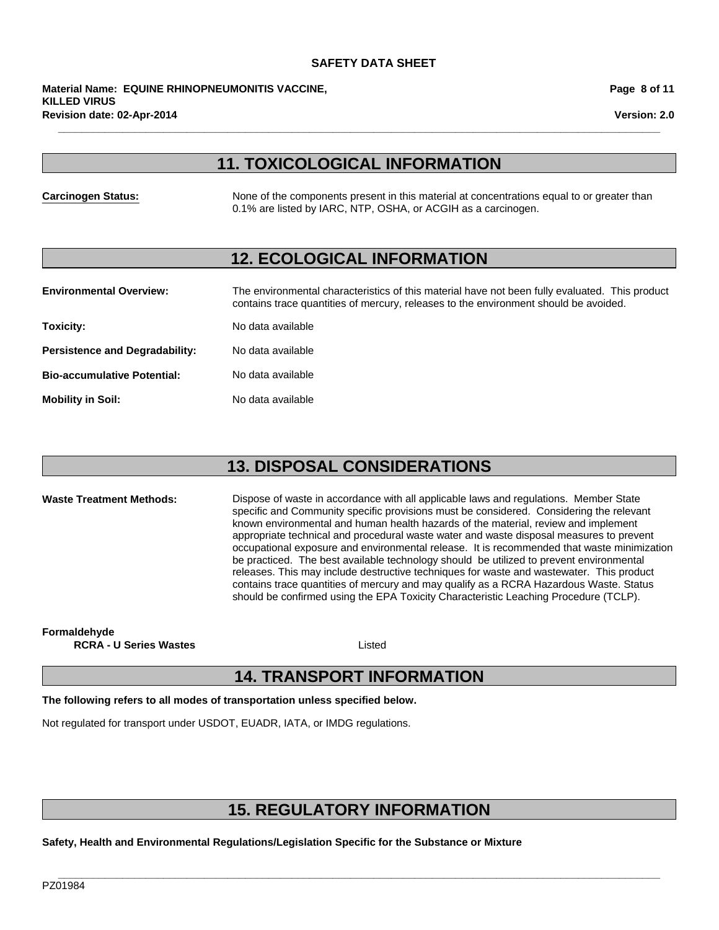**Revision date: 02-Apr-2014 Material Name: EQUINE RHINOPNEUMONITIS VACCINE, KILLED VIRUS**

**Page 8 of 11**

**Version: 2.0**

# **11. TOXICOLOGICAL INFORMATION**

**\_\_\_\_\_\_\_\_\_\_\_\_\_\_\_\_\_\_\_\_\_\_\_\_\_\_\_\_\_\_\_\_\_\_\_\_\_\_\_\_\_\_\_\_\_\_\_\_\_\_\_\_\_\_\_\_\_\_\_\_\_\_\_\_\_\_\_\_\_\_\_\_\_\_\_\_\_\_\_\_\_\_\_\_\_\_\_\_\_\_\_\_\_\_\_\_\_\_\_\_\_\_\_**

**Carcinogen Status:** None of the components present in this material at concentrations equal to or greater than 0.1% are listed by IARC, NTP, OSHA, or ACGIH as a carcinogen.

### **12. ECOLOGICAL INFORMATION**

| <b>Environmental Overview:</b>        | The environmental characteristics of this material have not been fully evaluated. This product<br>contains trace quantities of mercury, releases to the environment should be avoided. |
|---------------------------------------|----------------------------------------------------------------------------------------------------------------------------------------------------------------------------------------|
| Toxicity:                             | No data available                                                                                                                                                                      |
| <b>Persistence and Degradability:</b> | No data available                                                                                                                                                                      |
| <b>Bio-accumulative Potential:</b>    | No data available                                                                                                                                                                      |
| <b>Mobility in Soil:</b>              | No data available                                                                                                                                                                      |

# **13. DISPOSAL CONSIDERATIONS**

**Waste Treatment Methods:** Dispose of waste in accordance with all applicable laws and regulations. Member State specific and Community specific provisions must be considered. Considering the relevant known environmental and human health hazards of the material, review and implement appropriate technical and procedural waste water and waste disposal measures to prevent occupational exposure and environmental release. It is recommended that waste minimization be practiced. The best available technology should be utilized to prevent environmental releases. This may include destructive techniques for waste and wastewater. This product contains trace quantities of mercury and may qualify as a RCRA Hazardous Waste. Status should be confirmed using the EPA Toxicity Characteristic Leaching Procedure (TCLP).

**Formaldehyde**

**RCRA - U Series Wastes**

Listed

# **14. TRANSPORT INFORMATION**

**The following refers to all modes of transportation unless specified below.**

Not regulated for transport under USDOT, EUADR, IATA, or IMDG regulations.

# **15. REGULATORY INFORMATION**

**\_\_\_\_\_\_\_\_\_\_\_\_\_\_\_\_\_\_\_\_\_\_\_\_\_\_\_\_\_\_\_\_\_\_\_\_\_\_\_\_\_\_\_\_\_\_\_\_\_\_\_\_\_\_\_\_\_\_\_\_\_\_\_\_\_\_\_\_\_\_\_\_\_\_\_\_\_\_\_\_\_\_\_\_\_\_\_\_\_\_\_\_\_\_\_\_\_\_\_\_\_\_\_**

**Safety, Health and Environmental Regulations/Legislation Specific for the Substance or Mixture**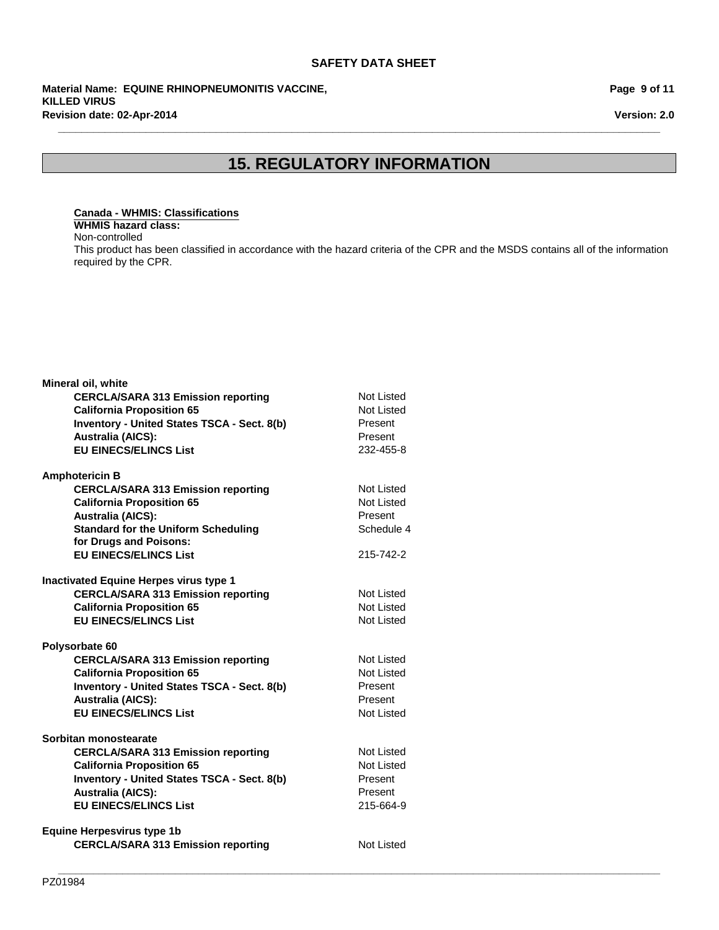**Revision date: 02-Apr-2014 Material Name: EQUINE RHINOPNEUMONITIS VACCINE, KILLED VIRUS**

**Page 9 of 11**

**Version: 2.0**

# **15. REGULATORY INFORMATION**

**\_\_\_\_\_\_\_\_\_\_\_\_\_\_\_\_\_\_\_\_\_\_\_\_\_\_\_\_\_\_\_\_\_\_\_\_\_\_\_\_\_\_\_\_\_\_\_\_\_\_\_\_\_\_\_\_\_\_\_\_\_\_\_\_\_\_\_\_\_\_\_\_\_\_\_\_\_\_\_\_\_\_\_\_\_\_\_\_\_\_\_\_\_\_\_\_\_\_\_\_\_\_\_**

### **Canada - WHMIS: Classifications**

**WHMIS hazard class:** Non-controlled

This product has been classified in accordance with the hazard criteria of the CPR and the MSDS contains all of the information required by the CPR.

| Mineral oil, white                                 |                   |
|----------------------------------------------------|-------------------|
| <b>CERCLA/SARA 313 Emission reporting</b>          | Not Listed        |
| <b>California Proposition 65</b>                   | Not Listed        |
| <b>Inventory - United States TSCA - Sect. 8(b)</b> | Present           |
| <b>Australia (AICS):</b>                           | Present           |
| <b>EU EINECS/ELINCS List</b>                       | 232-455-8         |
| <b>Amphotericin B</b>                              |                   |
| <b>CERCLA/SARA 313 Emission reporting</b>          | Not Listed        |
| <b>California Proposition 65</b>                   | Not Listed        |
| <b>Australia (AICS):</b>                           | Present           |
| <b>Standard for the Uniform Scheduling</b>         | Schedule 4        |
| for Drugs and Poisons:                             |                   |
| <b>EU EINECS/ELINCS List</b>                       | 215-742-2         |
| Inactivated Equine Herpes virus type 1             |                   |
| <b>CERCLA/SARA 313 Emission reporting</b>          | Not Listed        |
| <b>California Proposition 65</b>                   | Not Listed        |
| <b>EU EINECS/ELINCS List</b>                       | Not Listed        |
| Polysorbate 60                                     |                   |
| <b>CERCLA/SARA 313 Emission reporting</b>          | <b>Not Listed</b> |
| <b>California Proposition 65</b>                   | Not Listed        |
| <b>Inventory - United States TSCA - Sect. 8(b)</b> | Present           |
| <b>Australia (AICS):</b>                           | Present           |
| <b>EU EINECS/ELINCS List</b>                       | Not Listed        |
| Sorbitan monostearate                              |                   |
| <b>CERCLA/SARA 313 Emission reporting</b>          | Not Listed        |
| <b>California Proposition 65</b>                   | <b>Not Listed</b> |
| <b>Inventory - United States TSCA - Sect. 8(b)</b> | Present           |
| <b>Australia (AICS):</b>                           | Present           |
| <b>EU EINECS/ELINCS List</b>                       | 215-664-9         |
| <b>Equine Herpesvirus type 1b</b>                  |                   |
| <b>CERCLA/SARA 313 Emission reporting</b>          | <b>Not Listed</b> |
|                                                    |                   |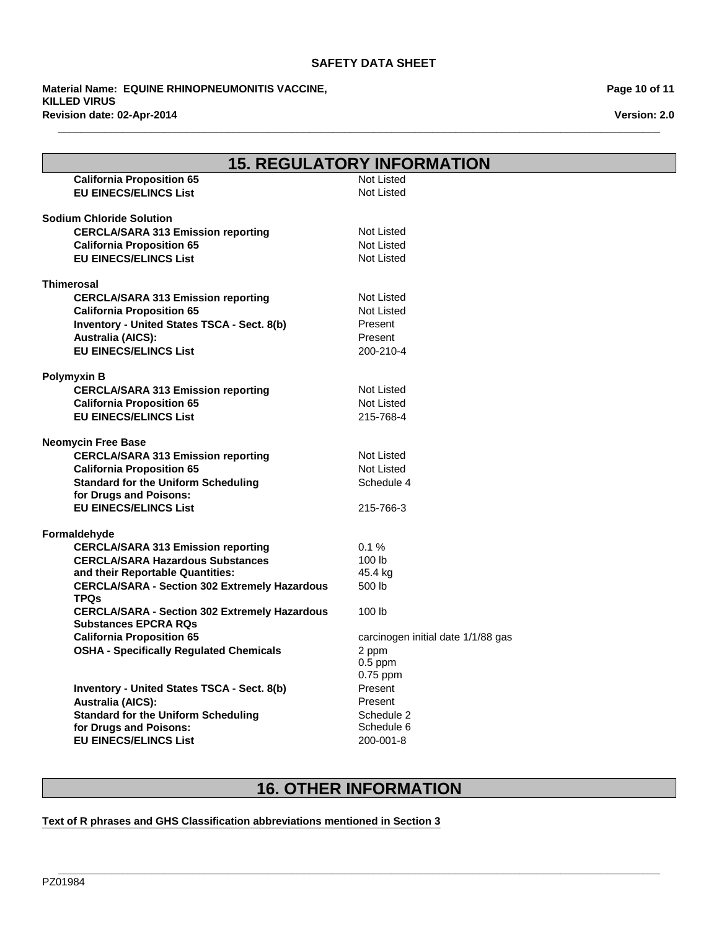**\_\_\_\_\_\_\_\_\_\_\_\_\_\_\_\_\_\_\_\_\_\_\_\_\_\_\_\_\_\_\_\_\_\_\_\_\_\_\_\_\_\_\_\_\_\_\_\_\_\_\_\_\_\_\_\_\_\_\_\_\_\_\_\_\_\_\_\_\_\_\_\_\_\_\_\_\_\_\_\_\_\_\_\_\_\_\_\_\_\_\_\_\_\_\_\_\_\_\_\_\_\_\_**

**Revision date: 02-Apr-2014 Material Name: EQUINE RHINOPNEUMONITIS VACCINE, KILLED VIRUS**

| <b>15. REGULATORY INFORMATION</b>                                                   |                                    |
|-------------------------------------------------------------------------------------|------------------------------------|
| <b>California Proposition 65</b>                                                    | <b>Not Listed</b>                  |
| <b>EU EINECS/ELINCS List</b>                                                        | <b>Not Listed</b>                  |
| <b>Sodium Chloride Solution</b>                                                     |                                    |
| <b>CERCLA/SARA 313 Emission reporting</b>                                           | <b>Not Listed</b>                  |
| <b>California Proposition 65</b>                                                    | <b>Not Listed</b>                  |
| <b>EU EINECS/ELINCS List</b>                                                        | <b>Not Listed</b>                  |
| <b>Thimerosal</b>                                                                   |                                    |
| <b>CERCLA/SARA 313 Emission reporting</b>                                           | <b>Not Listed</b>                  |
| <b>California Proposition 65</b>                                                    | Not Listed                         |
| <b>Inventory - United States TSCA - Sect. 8(b)</b>                                  | Present                            |
| <b>Australia (AICS):</b>                                                            | Present                            |
| <b>EU EINECS/ELINCS List</b>                                                        | 200-210-4                          |
| <b>Polymyxin B</b>                                                                  |                                    |
| <b>CERCLA/SARA 313 Emission reporting</b>                                           | <b>Not Listed</b>                  |
| <b>California Proposition 65</b>                                                    | <b>Not Listed</b>                  |
| <b>EU EINECS/ELINCS List</b>                                                        | 215-768-4                          |
| <b>Neomycin Free Base</b>                                                           |                                    |
| <b>CERCLA/SARA 313 Emission reporting</b>                                           | Not Listed                         |
| <b>California Proposition 65</b>                                                    | <b>Not Listed</b>                  |
| <b>Standard for the Uniform Scheduling</b><br>for Drugs and Poisons:                | Schedule 4                         |
| <b>EU EINECS/ELINCS List</b>                                                        | 215-766-3                          |
| Formaldehyde                                                                        |                                    |
| <b>CERCLA/SARA 313 Emission reporting</b>                                           | 0.1%                               |
| <b>CERCLA/SARA Hazardous Substances</b>                                             | 100 lb                             |
| and their Reportable Quantities:                                                    | 45.4 kg                            |
| <b>CERCLA/SARA - Section 302 Extremely Hazardous</b><br><b>TPQs</b>                 | 500 lb                             |
| <b>CERCLA/SARA - Section 302 Extremely Hazardous</b><br><b>Substances EPCRA RQs</b> | 100 <sub>lb</sub>                  |
| <b>California Proposition 65</b>                                                    | carcinogen initial date 1/1/88 gas |
| <b>OSHA - Specifically Regulated Chemicals</b>                                      | 2 ppm                              |
|                                                                                     | $0.5$ ppm                          |
|                                                                                     | $0.75$ ppm                         |
| Inventory - United States TSCA - Sect. 8(b)                                         | Present                            |
| <b>Australia (AICS):</b>                                                            | Present                            |
| <b>Standard for the Uniform Scheduling</b>                                          | Schedule 2                         |
| for Drugs and Poisons:                                                              | Schedule 6                         |
| <b>EU EINECS/ELINCS List</b>                                                        | 200-001-8                          |

# **16. OTHER INFORMATION**

**\_\_\_\_\_\_\_\_\_\_\_\_\_\_\_\_\_\_\_\_\_\_\_\_\_\_\_\_\_\_\_\_\_\_\_\_\_\_\_\_\_\_\_\_\_\_\_\_\_\_\_\_\_\_\_\_\_\_\_\_\_\_\_\_\_\_\_\_\_\_\_\_\_\_\_\_\_\_\_\_\_\_\_\_\_\_\_\_\_\_\_\_\_\_\_\_\_\_\_\_\_\_\_**

### **Text of R phrases and GHS Classification abbreviations mentioned in Section 3**

**Page 10 of 11**

**Version: 2.0**